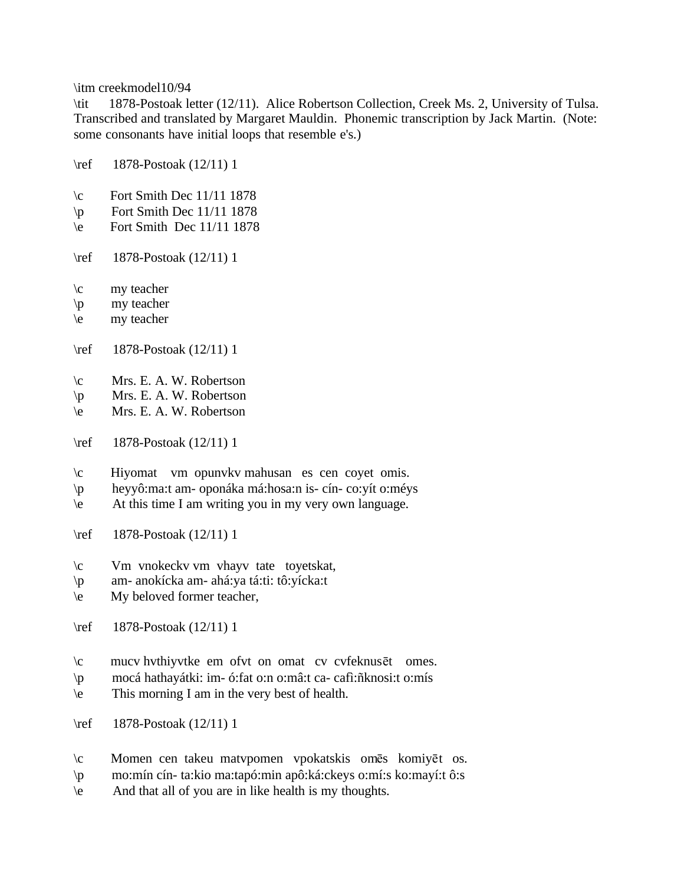\itm creekmodel10/94

\tit 1878-Postoak letter (12/11). Alice Robertson Collection, Creek Ms. 2, University of Tulsa. Transcribed and translated by Margaret Mauldin. Phonemic transcription by Jack Martin. (Note: some consonants have initial loops that resemble e's.)

\ref 1878-Postoak (12/11) 1

- $\c$  Fort Smith Dec 11/11 1878
- $\pi$  Fort Smith Dec 11/11 1878
- $\text{Per}$  Fort Smith Dec 11/11 1878
- \ref 1878-Postoak (12/11) 1
- \c my teacher
- \p my teacher
- \e my teacher
- \ref 1878-Postoak (12/11) 1
- \c Mrs. E. A. W. Robertson
- \p Mrs. E. A. W. Robertson
- \e Mrs. E. A. W. Robertson
- \ref 1878-Postoak (12/11) 1
- \c Hiyomat vm opunvkv mahusan es cen coyet omis.
- \p heyyô:ma:t am- oponáka má:hosa:n is- cín- co:yít o:méys
- \e At this time I am writing you in my very own language.
- \ref 1878-Postoak (12/11) 1
- \c Vm vnokeckv vm vhayv tate toyetskat,
- \p am- anokícka am- ahá:ya tá:ti: tô:yícka:t
- \e My beloved former teacher,
- \ref 1878-Postoak (12/11) 1
- $\c$  mucv hvthiyvtke em ofvt on omat cv cvfeknus et omes.
- \p mocá hathayátki: im- ó:fat o:n o:mâ:t ca- cafì:ñknosi:t o:mís
- \e This morning I am in the very best of health.
- \ref 1878-Postoak (12/11) 1
- $\c$  Momen cen takeu matvpomen vpokatskis omēs komiyēt os.
- \p mo:mín cín- ta:kio ma:tapó:min apô:ká:ckeys o:mí:s ko:mayí:t ô:s
- \e And that all of you are in like health is my thoughts.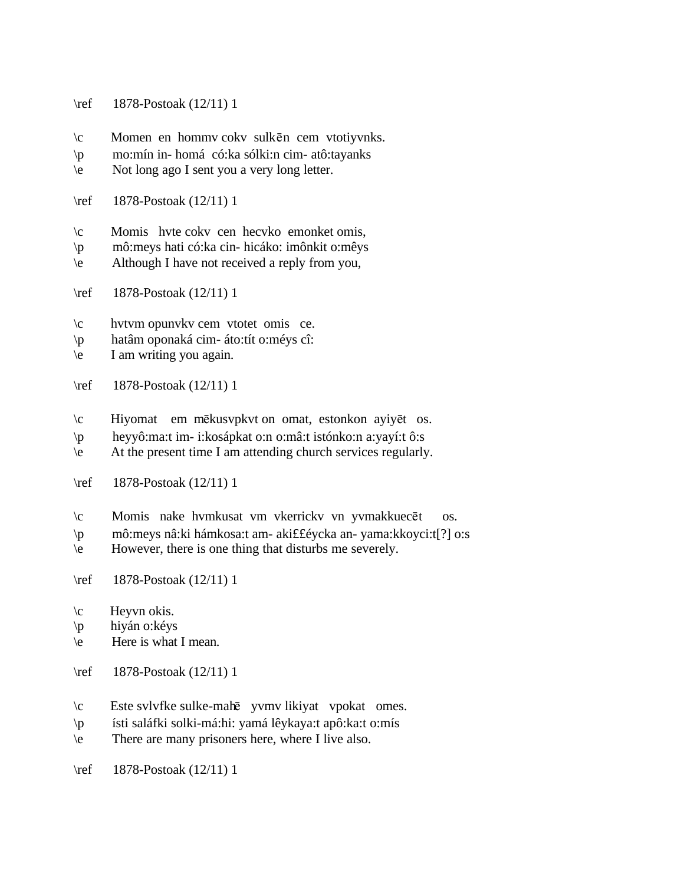- \ref 1878-Postoak (12/11) 1
- $\c$  Momen en hommv cokv sulkēn cem vtotiyvnks.
- \p mo:mín in- homá có:ka sólki:n cim- atô:tayanks
- \e Not long ago I sent you a very long letter.
- \ref 1878-Postoak (12/11) 1
- \c Momis hvte cokv cen hecvko emonket omis,
- \p mô:meys hati có:ka cin- hicáko: imônkit o:mêys
- \e Although I have not received a reply from you,
- \ref 1878-Postoak (12/11) 1
- \c hvtvm opunvkv cem vtotet omis ce.
- \p hatâm oponaká cim- áto:tít o:méys cî:
- \e I am writing you again.
- \ref 1878-Postoak (12/11) 1
- $\c$  Hiyomat em mēkusvpkvt on omat, estonkon ayiyēt os.
- \p heyyô:ma:t im- i:kosápkat o:n o:mâ:t istónko:n a:yayí:t ô:s
- \e At the present time I am attending church services regularly.
- \ref 1878-Postoak (12/11) 1
- \c Momis nake hvmkusat vm vkerrickv vn yvmakkuecēt os.
- \p mô:meys nâ:ki hámkosa:t am- aki££éycka an- yama:kkoyci:t[?] o:s
- \e However, there is one thing that disturbs me severely.
- \ref 1878-Postoak (12/11) 1
- $\c$  Heyvn okis.
- \p hiyán o:kéys
- \e Here is what I mean.
- \ref 1878-Postoak (12/11) 1
- \c Este svlvfke sulke-mah¬ yvmv likiyat vpokat omes.
- \p ísti saláfki solki-má:hi: yamá lêykaya:t apô:ka:t o:mís
- \e There are many prisoners here, where I live also.
- \ref 1878-Postoak (12/11) 1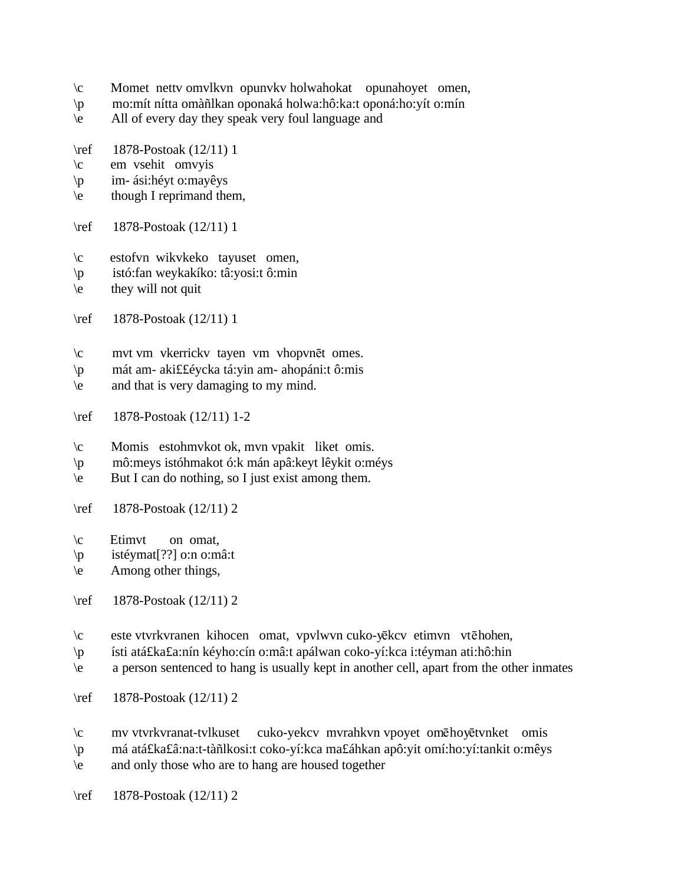- \c Momet nettv omvlkvn opunvkv holwahokat opunahoyet omen,
- \p mo:mít nítta omàñlkan oponaká holwa:hô:ka:t oponá:ho:yít o:mín
- \e All of every day they speak very foul language and
- \ref 1878-Postoak (12/11) 1
- \c em vsehit omvyis
- \p im- ási:héyt o:mayêys
- \e though I reprimand them,
- \ref 1878-Postoak (12/11) 1
- \c estofvn wikvkeko tayuset omen,
- \p istó:fan weykakíko: tâ:yosi:t ô:min
- $\leq$  they will not quit
- \ref 1878-Postoak (12/11) 1
- \c mvt vm vkerrickv tayen vm vhopvnēt omes.
- \p mát am- aki££éycka tá:yin am- ahopáni:t ô:mis
- \e and that is very damaging to my mind.
- \ref 1878-Postoak (12/11) 1-2
- \c Momis estohmvkot ok, mvn vpakit liket omis.
- \p mô:meys istóhmakot ó:k mán apâ:keyt lêykit o:méys
- \e But I can do nothing, so I just exist among them.
- \ref 1878-Postoak (12/11) 2
- \c Etimvt on omat,
- \p istéymat[??] o:n o:mâ:t
- \e Among other things,
- \ref 1878-Postoak (12/11) 2
- \c este vtvrkvranen kihocen omat, vpvlwvn cuko-yēkcv etimvn vtēhohen,
- \p ísti atá£ka£a:nín kéyho:cín o:mâ:t apálwan coko-yí:kca i:téyman ati:hô:hin
- \e a person sentenced to hang is usually kept in another cell, apart from the other inmates
- \ref 1878-Postoak (12/11) 2
- \c mv vtvrkvranat-tvlkuset cuko-yekcv mvrahkvn vpoyet omēhoyētvnket omis
- \p má atá£ka£â:na:t-tàñlkosi:t coko-yí:kca ma£áhkan apô:yit omí:ho:yí:tankit o:mêys
- \e and only those who are to hang are housed together
- \ref 1878-Postoak (12/11) 2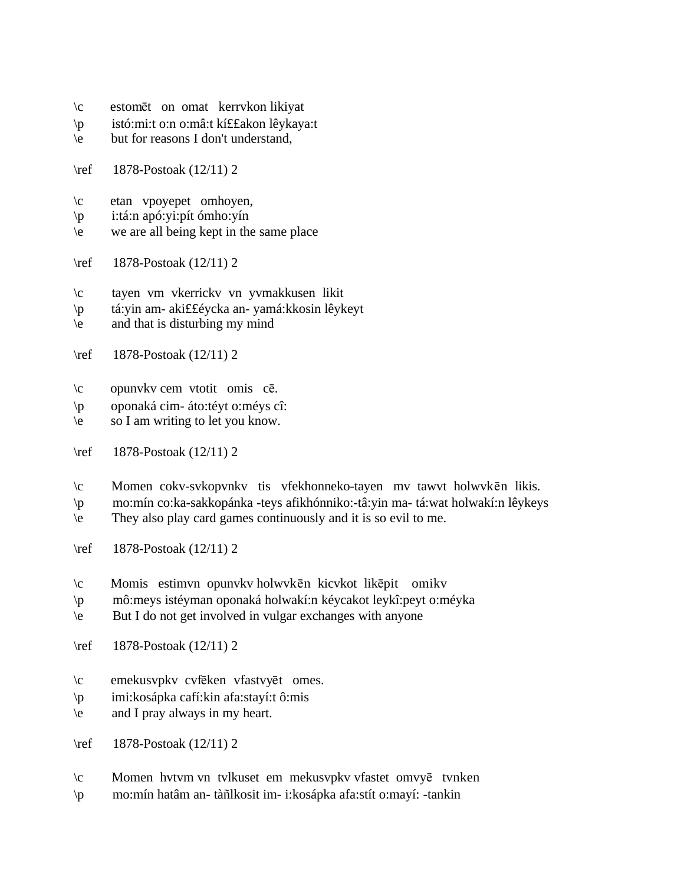- \c estom¬t on omat kerrvkon likiyat
- \p istó:mi:t o:n o:mâ:t kí££akon lêykaya:t
- \e but for reasons I don't understand,
- \ref 1878-Postoak (12/11) 2
- \c etan vpoyepet omhoyen,
- \p i:tá:n apó:yi:pít ómho:yín
- \e we are all being kept in the same place
- \ref 1878-Postoak (12/11) 2
- \c tayen vm vkerrickv vn yvmakkusen likit
- \p tá:yin am- aki££éycka an- yamá:kkosin lêykeyt
- \e and that is disturbing my mind
- \ref 1878-Postoak (12/11) 2
- $\c$  opunvkv cem vtotit omis cē.
- \p oponaká cim- áto:téyt o:méys cî:
- \e so I am writing to let you know.
- \ref 1878-Postoak (12/11) 2
- $\c$  Momen cokv-svkopvnkv tis vfekhonneko-tayen mv tawvt holwvkēn likis.
- \p mo:mín co:ka-sakkopánka -teys afikhónniko:-tâ:yin ma- tá:wat holwakí:n lêykeys
- \e They also play card games continuously and it is so evil to me.
- \ref 1878-Postoak (12/11) 2
- $\c$  Momis estimvn opunvkv holwvkēn kicvkot likēpit omikv
- \p mô:meys istéyman oponaká holwakí:n kéycakot leykî:peyt o:méyka
- \e But I do not get involved in vulgar exchanges with anyone
- \ref 1878-Postoak (12/11) 2
- \c emekusvpkv cvfeken vfastvyet omes.
- \p imi:kosápka cafí:kin afa:stayí:t ô:mis
- \e and I pray always in my heart.
- \ref 1878-Postoak (12/11) 2
- $\c$  Momen hvtvm vn tvlkuset em mekusvpkv vfastet omvy $\bar{e}$  tvnken
- \p mo:mín hatâm an- tàñlkosit im- i:kosápka afa:stít o:mayí: -tankin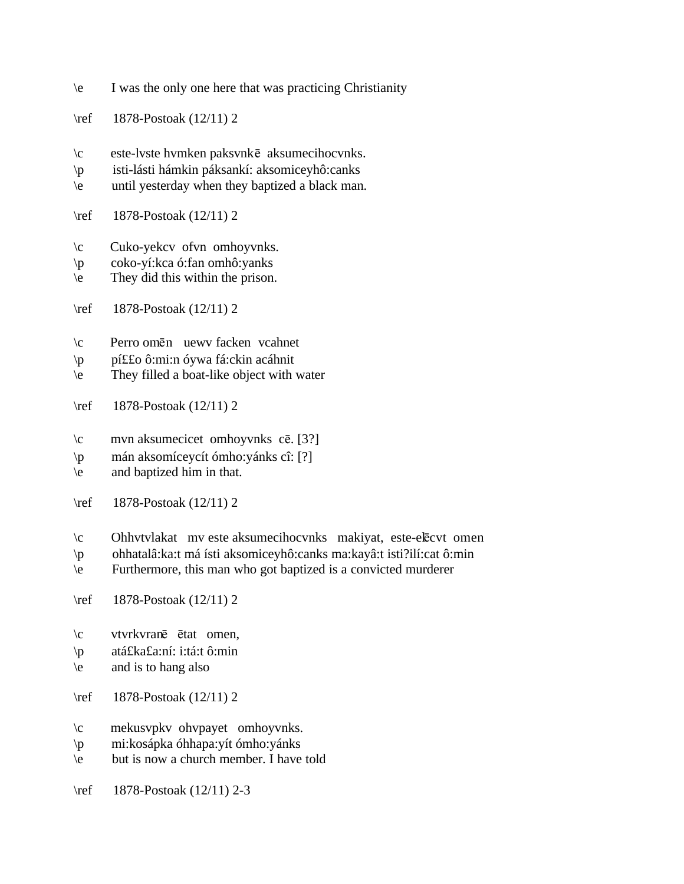- \e I was the only one here that was practicing Christianity
- \ref 1878-Postoak (12/11) 2
- $\c$  este-lvste hvmken paksvnk $\bar{e}$  aksumecihocvnks.
- \p isti-lásti hámkin páksankí: aksomiceyhô:canks
- \e until yesterday when they baptized a black man.
- \ref 1878-Postoak (12/11) 2
- \c Cuko-yekcv ofvn omhoyvnks.
- \p coko-yí:kca ó:fan omhô:yanks
- \e They did this within the prison.
- \ref 1878-Postoak (12/11) 2
- $\c$  Perro omēn uewv facken vcahnet
- \p pí££o ô:mi:n óywa fá:ckin acáhnit
- \e They filled a boat-like object with water
- \ref 1878-Postoak (12/11) 2
- $\c$  mvn aksumecicet omhoyvnks cē. [3?]
- \p mán aksomíceycít ómho:yánks cî: [?]
- \e and baptized him in that.
- \ref 1878-Postoak (12/11) 2
- $\c$  Ohhvtvlakat mv este aksumecihocvnks makiyat, este-el $\bar{c}$ cvt omen
- \p ohhatalâ:ka:t má ísti aksomiceyhô:canks ma:kayâ:t isti?ilí:cat ô:min
- \e Furthermore, this man who got baptized is a convicted murderer
- \ref 1878-Postoak (12/11) 2
- $\c$  vtvrkvranē ētat omen,
- \p atá£ka£a:ní: i:tá:t ô:min
- $\leq$  and is to hang also
- \ref 1878-Postoak (12/11) 2
- \c mekusvpkv ohvpayet omhoyvnks.
- \p mi:kosápka óhhapa:yít ómho:yánks
- \e but is now a church member. I have told
- \ref 1878-Postoak (12/11) 2-3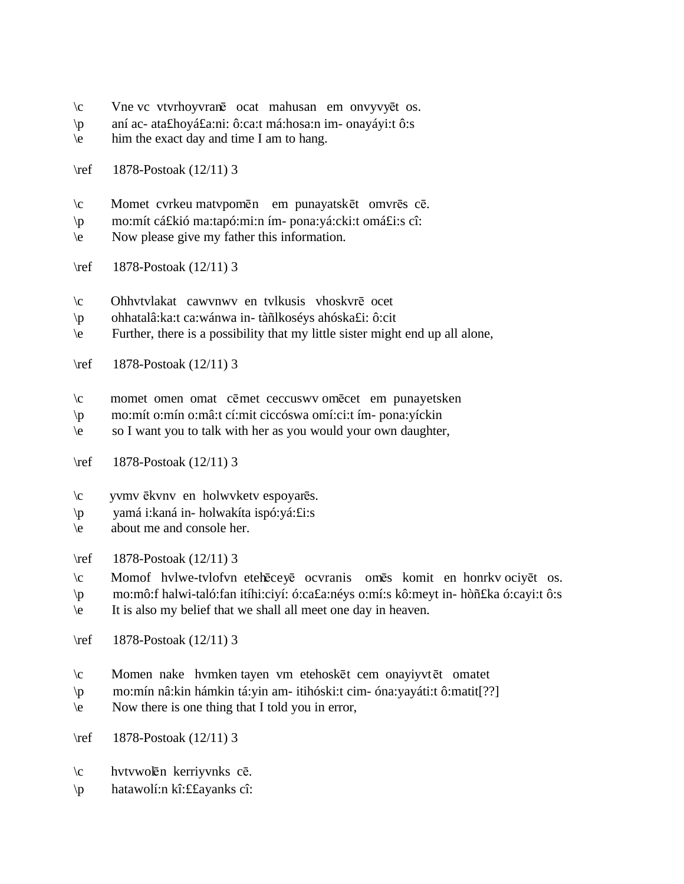- $\c$  Vne vc vtvrhoyvranē ocat mahusan em onvyvyēt os.
- \p aní ac- ata£hoyá£a:ni: ô:ca:t má:hosa:n im- onayáyi:t ô:s
- \e him the exact day and time I am to hang.
- \ref 1878-Postoak (12/11) 3
- $\c$  Momet cvrkeu matvpomēn em punayatskēt omvrēs cē.
- \p mo:mít cá£kió ma:tapó:mi:n ím- pona:yá:cki:t omá£i:s cî:
- \e Now please give my father this information.
- \ref 1878-Postoak (12/11) 3
- $\c$  Ohhvtvlakat cawvnwv en tvlkusis vhoskvr $\bar{e}$  ocet
- \p ohhatalâ:ka:t ca:wánwa in- tàñlkoséys ahóska£i: ô:cit
- \e Further, there is a possibility that my little sister might end up all alone,
- \ref 1878-Postoak (12/11) 3
- \c momet omen omat cēmet ceccuswv omēcet em punayetsken
- \p mo:mít o:mín o:mâ:t cí:mit ciccóswa omí:ci:t ím- pona:yíckin
- \e so I want you to talk with her as you would your own daughter,
- \ref 1878-Postoak (12/11) 3
- $\c$  yvmv  $\bar{e}$ kvnv en holwvketv espoyar $\bar{e}$ s.
- \p yamá i:kaná in- holwakíta ispó:yá:£i:s
- \e about me and console her.

\ref 1878-Postoak (12/11) 3

- $\c$  Momof hvlwe-tvlofvn eteh $\bar{e}$ cey $\bar{e}$  ocvranis om $\bar{e}$ s komit en honrkv ociy $\bar{e}$ t os.
- \p mo:mô:f halwi-taló:fan itíhi:ciyí: ó:ca£a:néys o:mí:s kô:meyt in- hòñ£ka ó:cayi:t ô:s
- \e It is also my belief that we shall all meet one day in heaven.
- \ref 1878-Postoak (12/11) 3
- $\c$  Momen nake hvmken tayen vm etehoskēt cem onayiyvtēt omatet
- \p mo:mín nâ:kin hámkin tá:yin am- itihóski:t cim- óna:yayáti:t ô:matit[??]
- \e Now there is one thing that I told you in error,
- \ref 1878-Postoak (12/11) 3
- $\c$  hvtvwolēn kerriyvnks cē.
- \p hatawolí:n kî:££ayanks cî: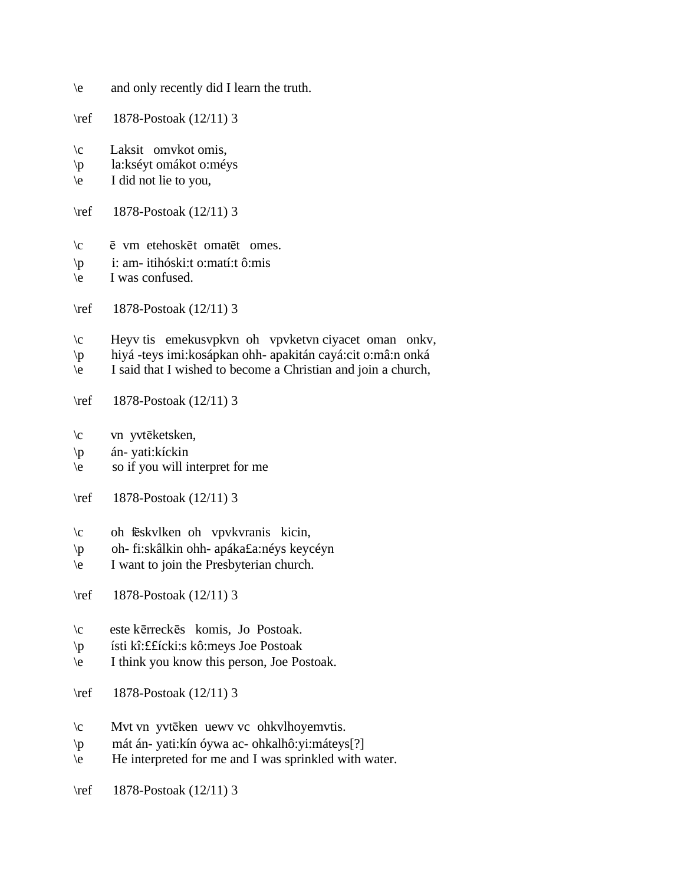- \e and only recently did I learn the truth.
- \ref 1878-Postoak (12/11) 3
- \c Laksit omvkot omis,
- \p la:kséyt omákot o:méys
- \e I did not lie to you,
- \ref 1878-Postoak (12/11) 3
- $\c$   $\bar{e}$  vm etehosk $\bar{e}$ t omat $\bar{e}$ t omes.
- \p i: am- itihóski:t o:matí:t ô:mis
- \e I was confused.
- \ref 1878-Postoak (12/11) 3
- \c Heyv tis emekusvpkvn oh vpvketvn ciyacet oman onkv,
- \p hiyá -teys imi:kosápkan ohh- apakitán cayá:cit o:mâ:n onká
- \e I said that I wished to become a Christian and join a church,
- \ref 1878-Postoak (12/11) 3
- $\c$  vn yvtēketsken,
- \p án- yati:kíckin
- \e so if you will interpret for me
- \ref 1878-Postoak (12/11) 3
- \c oh feskvlken oh vpvkvranis kicin,
- \p oh- fi:skâlkin ohh- apáka£a:néys keycéyn
- \e I want to join the Presbyterian church.
- \ref 1878-Postoak (12/11) 3
- \c este k¬rreck¬s komis, Jo Postoak.
- \p ísti kî:££ícki:s kô:meys Joe Postoak
- \e I think you know this person, Joe Postoak.
- \ref 1878-Postoak (12/11) 3
- $\c$  Mvt vn yvtēken uewv vc ohkvlhoyemvtis.
- \p mát án- yati:kín óywa ac- ohkalhô:yi:máteys[?]
- \e He interpreted for me and I was sprinkled with water.
- \ref 1878-Postoak (12/11) 3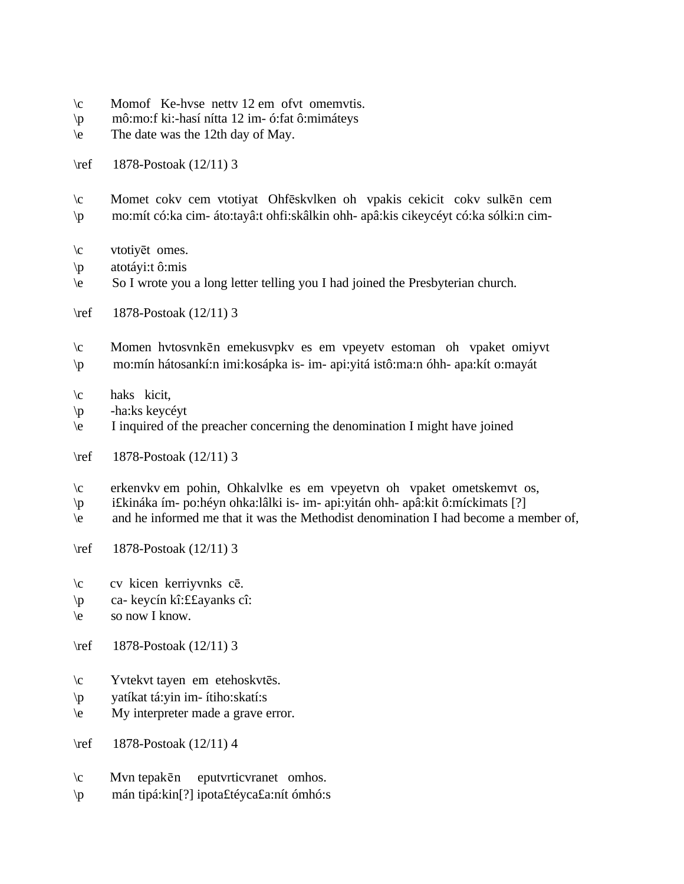- \c Momof Ke-hvse nettv 12 em ofvt omemvtis.
- \p mô:mo:f ki:-hasí nítta 12 im- ó:fat ô:mimáteys
- \e The date was the 12th day of May.
- \ref 1878-Postoak (12/11) 3
- $\c$  Momet cokv cem vtotiyat Ohfēskvlken oh vpakis cekicit cokv sulkēn cem \p mo:mít có:ka cim- áto:tayâ:t ohfi:skâlkin ohh- apâ:kis cikeycéyt có:ka sólki:n cim-
- $\c$  vtotiyet omes.
- $\pi$  atotáyi:t ô:mis
- \e So I wrote you a long letter telling you I had joined the Presbyterian church.
- \ref 1878-Postoak (12/11) 3
- \c Momen hvtosvnk¬n emekusvpkv es em vpeyetv estoman oh vpaket omiyvt
- \p mo:mín hátosankí:n imi:kosápka is- im- api:yitá istô:ma:n óhh- apa:kít o:mayát
- \c haks kicit,
- \p -ha:ks keycéyt
- \e I inquired of the preacher concerning the denomination I might have joined
- \ref 1878-Postoak (12/11) 3
- \c erkenvkv em pohin, Ohkalvlke es em vpeyetvn oh vpaket ometskemvt os,
- \p i£kináka ím- po:héyn ohka:lâlki is- im- api:yitán ohh- apâ:kit ô:míckimats [?]
- \e and he informed me that it was the Methodist denomination I had become a member of,
- \ref 1878-Postoak (12/11) 3
- \c cv kicen kerriyvnks c¬.
- \p ca- keycín kî:££ayanks cî:
- \e so now I know.
- \ref 1878-Postoak (12/11) 3
- $\c$  Yvtekvt tayen em etehoskvtēs.
- \p yatíkat tá:yin im- ítiho:skatí:s
- \e My interpreter made a grave error.
- \ref 1878-Postoak (12/11) 4
- $\operatorname{c}$  Mvn tepakēn eputvrticvranet omhos.
- \p mán tipá:kin[?] ipota£téyca£a:nít ómhó:s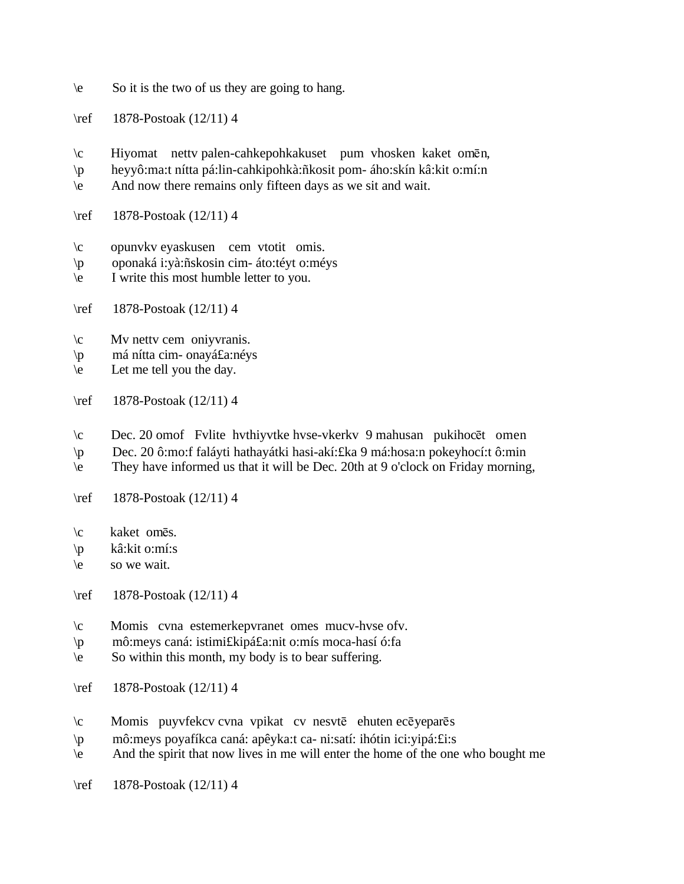- \e So it is the two of us they are going to hang.
- \ref 1878-Postoak (12/11) 4
- $\c$  Hiyomat nettv palen-cahkepohkakuset pum vhosken kaket omēn,
- \p heyyô:ma:t nítta pá:lin-cahkipohkà:ñkosit pom- áho:skín kâ:kit o:mí:n
- \e And now there remains only fifteen days as we sit and wait.
- \ref 1878-Postoak (12/11) 4
- \c opunvkv eyaskusen cem vtotit omis.
- \p oponaká i:yà:ñskosin cim- áto:téyt o:méys
- \e I write this most humble letter to you.
- \ref 1878-Postoak (12/11) 4
- \c Mv nettv cem oniyvranis.
- \p má nítta cim- onayá£a:néys
- $\leq$  Let me tell you the day.
- \ref 1878-Postoak (12/11) 4
- \c Dec. 20 omof Fvlite hvthiyvtke hvse-vkerkv 9 mahusan pukihoc¬t omen
- \p Dec. 20 ô:mo:f faláyti hathayátki hasi-akí:£ka 9 má:hosa:n pokeyhocí:t ô:min
- \e They have informed us that it will be Dec. 20th at 9 o'clock on Friday morning,
- \ref 1878-Postoak (12/11) 4
- $\c$  kaket omes.
- \p kâ:kit o:mí:s
- \e so we wait.
- \ref 1878-Postoak (12/11) 4
- \c Momis cvna estemerkepvranet omes mucv-hvse ofv.
- \p mô:meys caná: istimi£kipá£a:nit o:mís moca-hasí ó:fa
- $\le$  So within this month, my body is to bear suffering.
- \ref 1878-Postoak (12/11) 4
- $\c$  Momis puyvfekcv cvna vpikat cv nesvtē ehuten ecē yeparēs
- \p mô:meys poyafíkca caná: apêyka:t ca- ni:satí: ihótin ici:yipá:£i:s
- \e And the spirit that now lives in me will enter the home of the one who bought me
- \ref 1878-Postoak (12/11) 4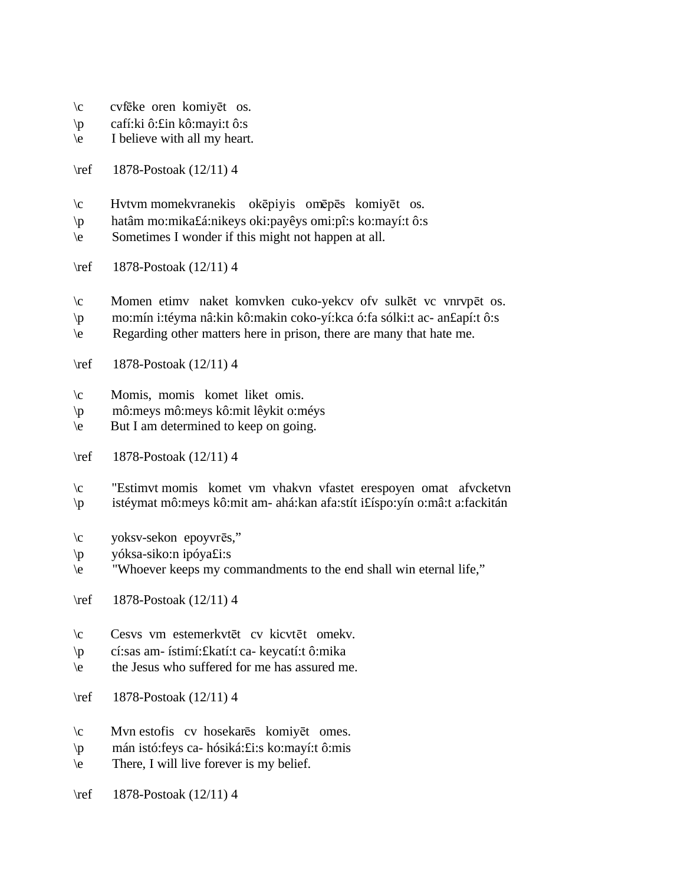- $\c$  cvfeke oren komiyet os.
- \p cafí:ki ô:£in kô:mayi:t ô:s
- \e I believe with all my heart.
- \ref 1878-Postoak (12/11) 4
- $\c$  Hvtvm momekvranekis okēpiyis omēpēs komiyēt os.
- \p hatâm mo:mika£á:nikeys oki:payêys omi:pî:s ko:mayí:t ô:s
- \e Sometimes I wonder if this might not happen at all.
- \ref 1878-Postoak (12/11) 4
- $\c$  Momen etimv naket komvken cuko-yekcv of vsulkēt vc vnrvpēt os.
- \p mo:mín i:téyma nâ:kin kô:makin coko-yí:kca ó:fa sólki:t ac- an£apí:t ô:s
- \e Regarding other matters here in prison, there are many that hate me.
- \ref 1878-Postoak (12/11) 4
- \c Momis, momis komet liket omis.
- \p mô:meys mô:meys kô:mit lêykit o:méys
- $\begin{bmatrix} 1 & 2 \\ 2 & 3 \end{bmatrix}$  but I am determined to keep on going.
- \ref 1878-Postoak (12/11) 4
- \c "Estimvt momis komet vm vhakvn vfastet erespoyen omat afvcketvn \p istéymat mô:meys kô:mit am- ahá:kan afa:stít i£íspo:yín o:mâ:t a:fackitán
- \c yoksv-sekon epoyvrēs,"
- \p yóksa-siko:n ipóya£i:s
- \e "Whoever keeps my commandments to the end shall win eternal life,"
- \ref 1878-Postoak (12/11) 4
- \c Cesvs vm estemerkvtet cv kicvtet omekv.
- \p cí:sas am- ístimí:£katí:t ca- keycatí:t ô:mika
- \e the Jesus who suffered for me has assured me.
- \ref 1878-Postoak (12/11) 4
- $\c$  Mvn estofis cv hosekarēs komiyēt omes.
- \p mán istó:feys ca- hósiká:£i:s ko:mayí:t ô:mis
- $\leq$  There, I will live forever is my belief.
- \ref 1878-Postoak (12/11) 4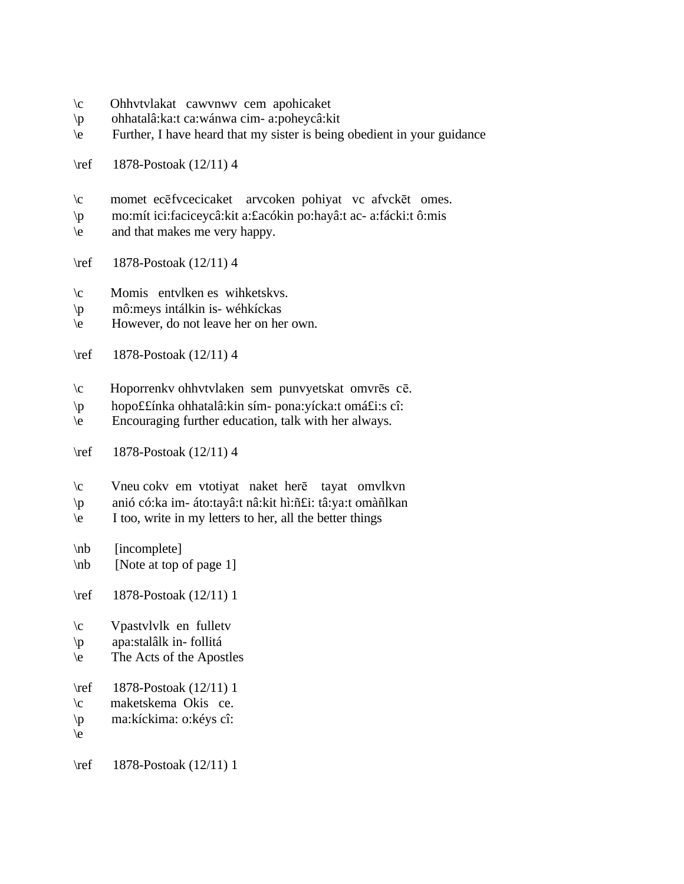- \c Ohhvtvlakat cawvnwv cem apohicaket
- \p ohhatalâ:ka:t ca:wánwa cim- a:poheycâ:kit
- \e Further, I have heard that my sister is being obedient in your guidance
- \ref 1878-Postoak (12/11) 4
- \c momet ecēfvcecicaket arvcoken pohiyat vc afvckēt omes.
- \p mo:mít ici:faciceycâ:kit a:£acókin po:hayâ:t ac- a:fácki:t ô:mis
- \e and that makes me very happy.
- \ref 1878-Postoak (12/11) 4
- \c Momis entvlken es wihketskvs.
- \p mô:meys intálkin is- wéhkíckas
- \e However, do not leave her on her own.
- \ref 1878-Postoak (12/11) 4
- $\c$  Hoporrenkv ohhvtvlaken sem punvyetskat omvrēs cē.
- \p hopo££ínka ohhatalâ:kin sím- pona:yícka:t omá£i:s cî:
- \e Encouraging further education, talk with her always.
- \ref 1878-Postoak (12/11) 4
- $\c$  Vneu cokv em vtotiyat naket herē tayat omvlkvn
- \p anió có:ka im- áto:tayâ:t nâ:kit hì:ñ£i: tâ:ya:t omàñlkan
- $\leq$  I too, write in my letters to her, all the better things
- \nb [incomplete]
- \nb [Note at top of page 1]
- \ref 1878-Postoak (12/11) 1
- \c Vpastvlvlk en fulletv
- \p apa:stalâlk in- follitá
- \e The Acts of the Apostles
- \ref 1878-Postoak (12/11) 1
- \c maketskema Okis ce.
- \p ma:kíckima: o:kéys cî:
- $\backslash e$

\ref 1878-Postoak (12/11) 1